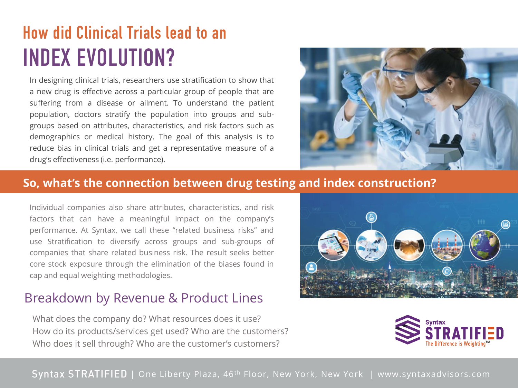# **CAP INDEX EVOLUTION? How did Clinical Trials lead to an**

In designing clinical trials, researchers use stratification to show that a new drug is effective across a particular group of people that are suffering from a disease or ailment. To understand the patient population, doctors stratify the population into groups and subreduce bias in clinical trials and get a representative measure of a **CAP 2017-2021** demographics or medical history. The goal of this analysis is to groups based on attributes, characteristics, and risk factors such as drug's effectiveness (i.e. performance).



#### **So, what's the connection between drug testing and index construction?**

companies that share related business risk. The result seeks better<br>core stock exposure through the elimination of the biases found in By evenly weighting and rebalancing among sectors, cap and equal weighting methodologies. performance. At Syntax, we call these "related business risks" and Individual companies also share attributes, characteristics, and risk factors that can have a meaningful impact on the company's use Stratification to diversify across groups and sub-groups of companies that share related business risk. The result seeks better

#### Breakdown by Revenue & Product Lines

*S&P 500 Index and S&P 500 Equal Weight Index performance in Syntax Sectors as of 12/31/2020 and 12/31/2021* How do its products/services get used? Who are the customers? What does the company do? What resources does it use? Who does it sell through? Who are the customer's customers?